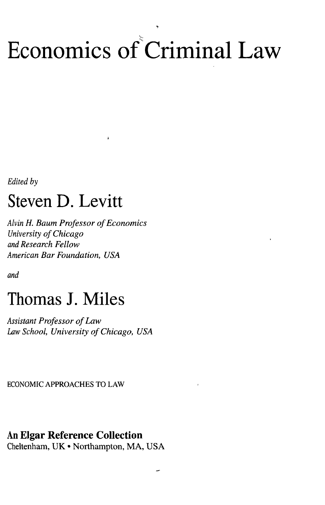# Economics of Criminal Law

*Edited by*

### Steven D. Levitt

*Alvin H. Baum Professor of Economics University of Chicago and Research Fellow American Bar Foundation, USA*

ž.

*and*

### Thomas J. Miles

*Assistant Professor of Law Law School, University of Chicago, USA*

ECONOMIC APPROACHES TO LAW

### An Elgar Reference Collection

Cheltenham, UK • Northampton, MA, USA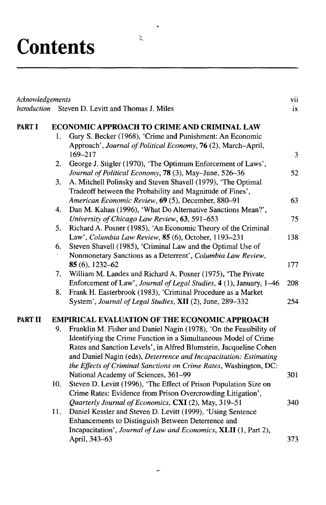## **Contents**

| Acknowledgements |                                                      |                                                                     | vii |
|------------------|------------------------------------------------------|---------------------------------------------------------------------|-----|
| Introduction     |                                                      | Steven D. Levitt and Thomas J. Miles                                | ix  |
| PART I           | ECONOMIC APPROACH TO CRIME AND CRIMINAL LAW          |                                                                     |     |
|                  | 1.                                                   | Gary S. Becker (1968), 'Crime and Punishment: An Economic           |     |
|                  |                                                      | Approach', Journal of Political Economy, 76 (2), March-April,       |     |
|                  |                                                      | 169-217                                                             | 3   |
|                  | 2.                                                   | George J. Stigler (1970), 'The Optimum Enforcement of Laws',        |     |
|                  |                                                      | Journal of Political Economy, 78 (3), May-June, 526-36              | 52  |
|                  | 3 <sub>1</sub>                                       | A. Mitchell Polinsky and Steven Shavell (1979), 'The Optimal        |     |
|                  |                                                      | Tradeoff between the Probability and Magnitude of Fines',           |     |
|                  |                                                      | American Economic Review, 69 (5), December, 880-91                  | 63  |
|                  | 4.                                                   | Dan M. Kahan (1996), 'What Do Alternative Sanctions Mean?',         |     |
|                  |                                                      | University of Chicago Law Review, 63, 591-653                       | 75  |
|                  | 5.                                                   | Richard A. Posner (1985), 'An Economic Theory of the Criminal       |     |
|                  |                                                      | Law', Columbia Law Review, 85 (6), October, 1193-231                | 138 |
|                  | 6.                                                   | Steven Shavell (1985), 'Criminal Law and the Optimal Use of         |     |
|                  |                                                      | Nonmonetary Sanctions as a Deterrent', Columbia Law Review,         |     |
|                  |                                                      | 85 $(6)$ , 1232-62                                                  | 177 |
|                  | 7.                                                   | William M. Landes and Richard A. Posner (1975), 'The Private        |     |
|                  |                                                      | Enforcement of Law', Journal of Legal Studies, 4 (1), January, 1-46 | 208 |
|                  | 8.                                                   | Frank H. Easterbrook (1983), 'Criminal Procedure as a Market        |     |
|                  |                                                      | System', Journal of Legal Studies, XII (2), June, 289-332           | 254 |
| PART II          | <b>EMPIRICAL EVALUATION OF THE ECONOMIC APPROACH</b> |                                                                     |     |
|                  | 9.                                                   | Franklin M. Fisher and Daniel Nagin (1978), 'On the Feasibility of  |     |
|                  |                                                      | Identifying the Crime Function in a Simultaneous Model of Crime     |     |
|                  |                                                      | Rates and Sanction Levels', in Alfred Blumstein, Jacqueline Cohen   |     |
|                  |                                                      | and Daniel Nagin (eds), Deterrence and Incapacitation: Estimating   |     |
|                  |                                                      | the Effects of Criminal Sanctions on Crime Rates, Washington, DC:   |     |
|                  |                                                      | National Academy of Sciences, 361-99                                | 301 |
|                  | 10.                                                  | Steven D. Levitt (1996), 'The Effect of Prison Population Size on   |     |
|                  |                                                      | Crime Rates: Evidence from Prison Overcrowding Litigation',         |     |
|                  |                                                      | Quarterly Journal of Economics, CXI (2), May, 319-51                | 340 |
|                  | 11.                                                  | Daniel Kessler and Steven D. Levitt (1999), 'Using Sentence         |     |
|                  |                                                      | Enhancements to Distinguish Between Deterrence and                  |     |
|                  |                                                      | Incapacitation', Journal of Law and Economics, XLII (1, Part 2),    |     |
|                  |                                                      | April, 343-63                                                       | 373 |

 $\ddot{\phantom{0}}$ 

 $\sum_{\alpha}$